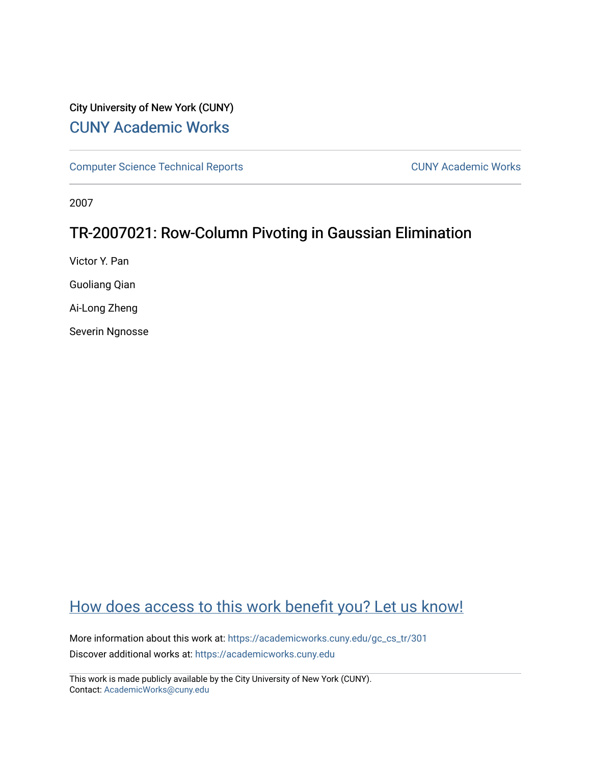## City University of New York (CUNY) [CUNY Academic Works](https://academicworks.cuny.edu/)

[Computer Science Technical Reports](https://academicworks.cuny.edu/gc_cs_tr) **CUNY Academic Works** CUNY Academic Works

2007

## TR-2007021: Row-Column Pivoting in Gaussian Elimination

Victor Y. Pan

Guoliang Qian

Ai-Long Zheng

Severin Ngnosse

# [How does access to this work benefit you? Let us know!](http://ols.cuny.edu/academicworks/?ref=https://academicworks.cuny.edu/gc_cs_tr/301)

More information about this work at: [https://academicworks.cuny.edu/gc\\_cs\\_tr/301](https://academicworks.cuny.edu/gc_cs_tr/301)  Discover additional works at: [https://academicworks.cuny.edu](https://academicworks.cuny.edu/?)

This work is made publicly available by the City University of New York (CUNY). Contact: [AcademicWorks@cuny.edu](mailto:AcademicWorks@cuny.edu)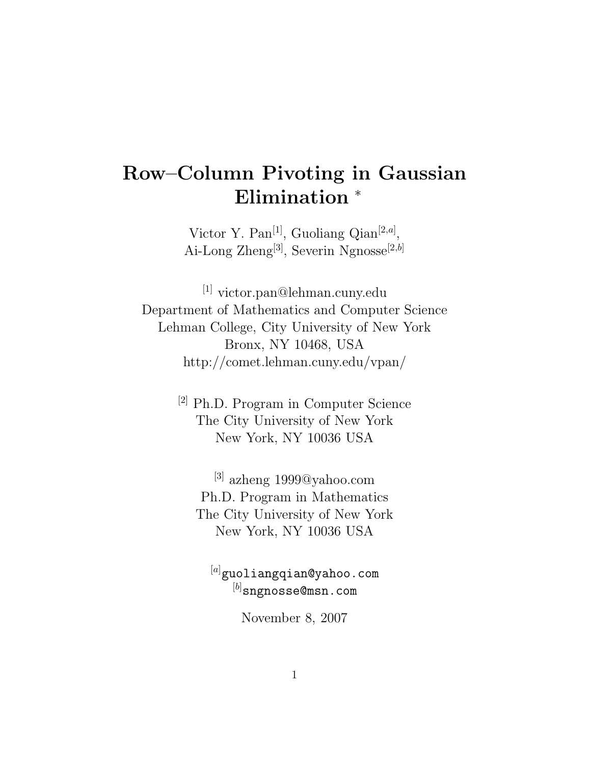# **Row–Column Pivoting in Gaussian Elimination** <sup>∗</sup>

Victor Y. Pan[1], Guoliang Qian[2*,a*] , Ai-Long Zheng[3], Severin Ngnosse[2*,b*]

[1] victor.pan@lehman.cuny.edu Department of Mathematics and Computer Science Lehman College, City University of New York Bronx, NY 10468, USA http://comet.lehman.cuny.edu/vpan/

> [2] Ph.D. Program in Computer Science The City University of New York New York, NY 10036 USA

[3] azheng 1999@yahoo.com Ph.D. Program in Mathematics The City University of New York New York, NY 10036 USA

<sup>[a]</sup>guoliangqian@yahoo.com  $\mathcal{F}^{(b)}$  compared  $\mathcal{F}^{(b)}$  compared  $\mathcal{F}^{(b)}$  compared  $\mathcal{F}^{(b)}$ sngnosse@msn.com

November 8, 2007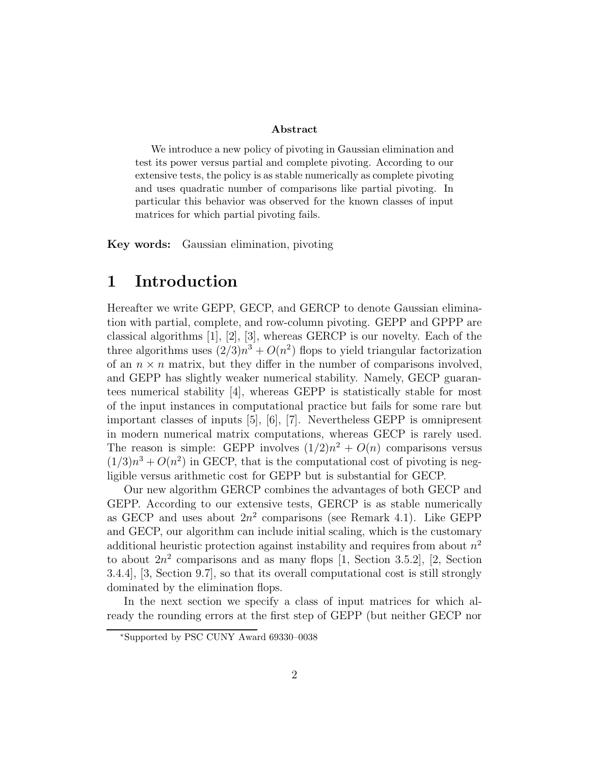#### **Abstract**

We introduce a new policy of pivoting in Gaussian elimination and test its power versus partial and complete pivoting. According to our extensive tests, the policy is as stable numerically as complete pivoting and uses quadratic number of comparisons like partial pivoting. In particular this behavior was observed for the known classes of input matrices for which partial pivoting fails.

**Key words:** Gaussian elimination, pivoting

## **1 Introduction**

Hereafter we write GEPP, GECP, and GERCP to denote Gaussian elimination with partial, complete, and row-column pivoting. GEPP and GPPP are classical algorithms [1], [2], [3], whereas GERCP is our novelty. Each of the three algorithms uses  $(2/3)n^3 + O(n^2)$  flops to yield triangular factorization of an  $n \times n$  matrix, but they differ in the number of comparisons involved, and GEPP has slightly weaker numerical stability. Namely, GECP guarantees numerical stability [4], whereas GEPP is statistically stable for most of the input instances in computational practice but fails for some rare but important classes of inputs [5], [6], [7]. Nevertheless GEPP is omnipresent in modern numerical matrix computations, whereas GECP is rarely used. The reason is simple: GEPP involves  $(1/2)n^2 + O(n)$  comparisons versus  $(1/3)n^3 + O(n^2)$  in GECP, that is the computational cost of pivoting is negligible versus arithmetic cost for GEPP but is substantial for GECP.

Our new algorithm GERCP combines the advantages of both GECP and GEPP. According to our extensive tests, GERCP is as stable numerically as GECP and uses about  $2n^2$  comparisons (see Remark 4.1). Like GEPP and GECP, our algorithm can include initial scaling, which is the customary additional heuristic protection against instability and requires from about  $n^2$ to about  $2n^2$  comparisons and as many flops [1, Section 3.5.2], [2, Section 3.4.4], [3, Section 9.7], so that its overall computational cost is still strongly dominated by the elimination flops.

In the next section we specify a class of input matrices for which already the rounding errors at the first step of GEPP (but neither GECP nor

<sup>∗</sup>Supported by PSC CUNY Award 69330–0038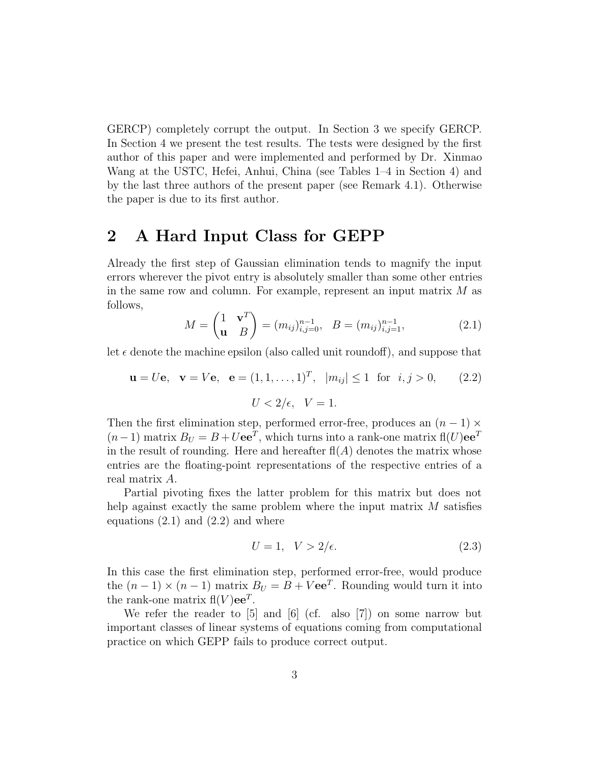GERCP) completely corrupt the output. In Section 3 we specify GERCP. In Section 4 we present the test results. The tests were designed by the first author of this paper and were implemented and performed by Dr. Xinmao Wang at the USTC, Hefei, Anhui, China (see Tables 1–4 in Section 4) and by the last three authors of the present paper (see Remark 4.1). Otherwise the paper is due to its first author.

### **2 A Hard Input Class for GEPP**

Already the first step of Gaussian elimination tends to magnify the input errors wherever the pivot entry is absolutely smaller than some other entries in the same row and column. For example, represent an input matrix M as follows,

$$
M = \begin{pmatrix} 1 & \mathbf{v}^T \\ \mathbf{u} & B \end{pmatrix} = (m_{ij})_{i,j=0}^{n-1}, \quad B = (m_{ij})_{i,j=1}^{n-1},
$$
(2.1)

let  $\epsilon$  denote the machine epsilon (also called unit roundoff), and suppose that

$$
\mathbf{u} = U\mathbf{e}, \quad \mathbf{v} = V\mathbf{e}, \quad \mathbf{e} = (1, 1, \dots, 1)^T, \quad |m_{ij}| \le 1 \quad \text{for} \quad i, j > 0,\tag{2.2}
$$
\n
$$
U < 2/\epsilon, \quad V = 1.
$$

Then the first elimination step, performed error-free, produces an  $(n-1) \times$  $(n-1)$  matrix  $B_U = B + U \mathbf{e} \mathbf{e}^T$ , which turns into a rank-one matrix fl $(U) \mathbf{e} \mathbf{e}^T$ in the result of rounding. Here and hereafter  $f(A)$  denotes the matrix whose entries are the floating-point representations of the respective entries of a real matrix A.

Partial pivoting fixes the latter problem for this matrix but does not help against exactly the same problem where the input matrix M satisfies equations  $(2.1)$  and  $(2.2)$  and where

$$
U = 1, \quad V > 2/\epsilon. \tag{2.3}
$$

In this case the first elimination step, performed error-free, would produce the  $(n-1) \times (n-1)$  matrix  $B_U = B + V \mathbf{e} \mathbf{e}^T$ . Rounding would turn it into the rank-one matrix  $f(N)ee^T$ .

We refer the reader to [5] and [6] (cf. also [7]) on some narrow but important classes of linear systems of equations coming from computational practice on which GEPP fails to produce correct output.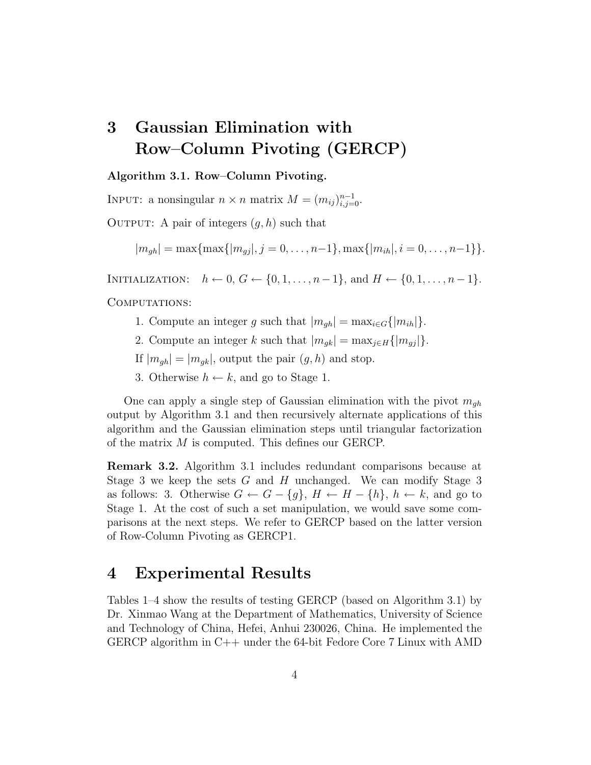# **3 Gaussian Elimination with Row–Column Pivoting (GERCP)**

#### **Algorithm 3.1. Row–Column Pivoting.**

INPUT: a nonsingular  $n \times n$  matrix  $M = (m_{ij})_{i,j=0}^{n-1}$ .

OUTPUT: A pair of integers  $(q, h)$  such that

 $|m_{gh}| = \max\{ \max\{|m_{gi}|, j = 0, \ldots, n-1\}, \max\{|m_{ih}|, i = 0, \ldots, n-1\}\}.$ 

INITIALIZATION:  $h \leftarrow 0, G \leftarrow \{0, 1, \ldots, n-1\}, \text{and } H \leftarrow \{0, 1, \ldots, n-1\}.$ 

COMPUTATIONS:

- 1. Compute an integer g such that  $|m_{gh}| = \max_{i \in G} \{|m_{ih}|\}.$
- 2. Compute an integer k such that  $|m_{gk}| = \max_{j \in H} \{|m_{gj}|\}.$
- If  $|m_{gh}| = |m_{gk}|$ , output the pair  $(g, h)$  and stop.
- 3. Otherwise  $h \leftarrow k$ , and go to Stage 1.

One can apply a single step of Gaussian elimination with the pivot  $m_{gh}$ output by Algorithm 3.1 and then recursively alternate applications of this algorithm and the Gaussian elimination steps until triangular factorization of the matrix M is computed. This defines our GERCP.

**Remark 3.2.** Algorithm 3.1 includes redundant comparisons because at Stage 3 we keep the sets G and H unchanged. We can modify Stage 3 as follows: 3. Otherwise  $G \leftarrow G - \{g\}, H \leftarrow H - \{h\}, h \leftarrow k$ , and go to Stage 1. At the cost of such a set manipulation, we would save some comparisons at the next steps. We refer to GERCP based on the latter version of Row-Column Pivoting as GERCP1.

### **4 Experimental Results**

Tables 1–4 show the results of testing GERCP (based on Algorithm 3.1) by Dr. Xinmao Wang at the Department of Mathematics, University of Science and Technology of China, Hefei, Anhui 230026, China. He implemented the GERCP algorithm in C++ under the 64-bit Fedore Core 7 Linux with AMD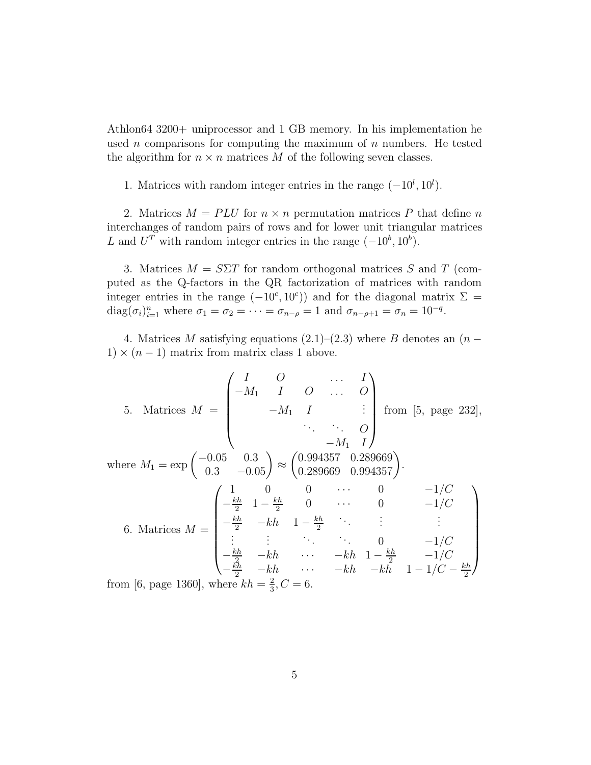Athlon64 3200+ uniprocessor and 1 GB memory. In his implementation he used  $n$  comparisons for computing the maximum of  $n$  numbers. He tested the algorithm for  $n \times n$  matrices M of the following seven classes.

1. Matrices with random integer entries in the range  $(-10^l, 10^l)$ .

2. Matrices  $M = PLU$  for  $n \times n$  permutation matrices P that define n interchanges of random pairs of rows and for lower unit triangular matrices L and  $U^T$  with random integer entries in the range  $(-10^b, 10^b)$ .

3. Matrices  $M = S\Sigma T$  for random orthogonal matrices S and T (computed as the Q-factors in the QR factorization of matrices with random integer entries in the range  $(-10^c, 10^c)$  and for the diagonal matrix  $\Sigma = \text{diag}(\sigma_1)^n$ , where  $\sigma_2 = \sigma_2 = \cdots = \sigma_n = 1$  and  $\sigma_n = \sigma_n = 10^{-q}$  $diag(\sigma_i)_{i=1}^n$  where  $\sigma_1 = \sigma_2 = \cdots = \sigma_{n-\rho} = 1$  and  $\sigma_{n-\rho+1} = \sigma_n = 10^{-q}$ .

4. Matrices M satisfying equations  $(2.1)–(2.3)$  where B denotes an  $(n 1) \times (n-1)$  matrix from matrix class 1 above.

5. Matrices 
$$
M = \begin{pmatrix} I & O & \dots & I \\ -M_1 & I & O & \dots & O \\ & -M_1 & I & \vdots \\ & & \ddots & \ddots & O \\ & & & -M_1 & I \end{pmatrix}
$$
 from [5, page 232],  
\nwhere  $M_1 = \exp\begin{pmatrix} -0.05 & 0.3 \\ 0.3 & -0.05 \end{pmatrix} \approx \begin{pmatrix} 0.994357 & 0.289669 \\ 0.289669 & 0.994357 \end{pmatrix}$ .  
\n6. Matrices  $M = \begin{pmatrix} 1 & 0 & 0 & \dots & 0 & -1/C \\ -\frac{kh}{2} & 1 - \frac{kh}{2} & 0 & \dots & 0 & -1/C \\ -\frac{kh}{2} & -kh & 1 - \frac{kh}{2} & \ddots & \vdots & \vdots \\ \vdots & \vdots & \ddots & \ddots & 0 & -1/C \\ -\frac{kh}{2} & -kh & \dots & -kh & 1 - \frac{kh}{2} & -1/C \\ -\frac{kh}{2} & -kh & \dots & -kh & -kh & 1 - 1/C - \frac{kh}{2} \end{pmatrix}$   
\nfrom [6, page 1360], where  $kh = \frac{2}{3}, C = 6$ .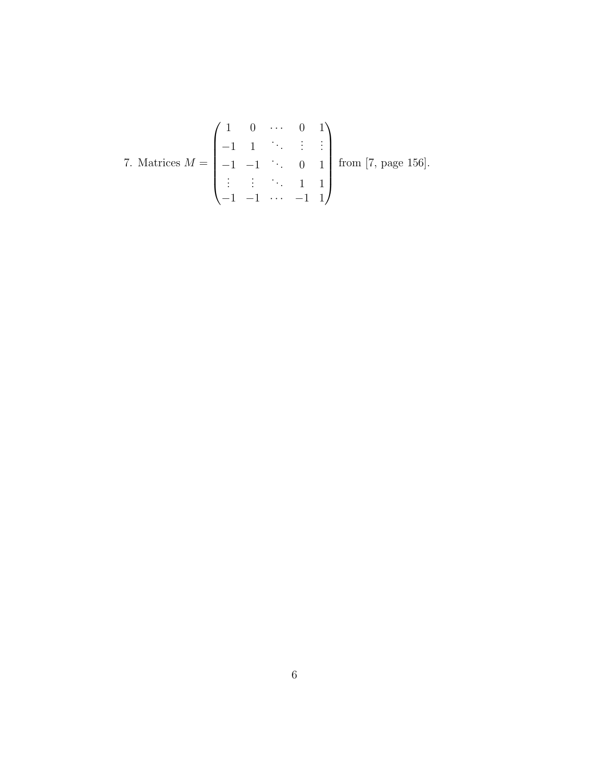7. Matrices 
$$
M = \begin{pmatrix} 1 & 0 & \cdots & 0 & 1 \\ -1 & 1 & \ddots & \vdots & \vdots \\ -1 & -1 & \ddots & 0 & 1 \\ \vdots & \vdots & \ddots & 1 & 1 \\ -1 & -1 & \cdots & -1 & 1 \end{pmatrix}
$$
 from [7, page 156].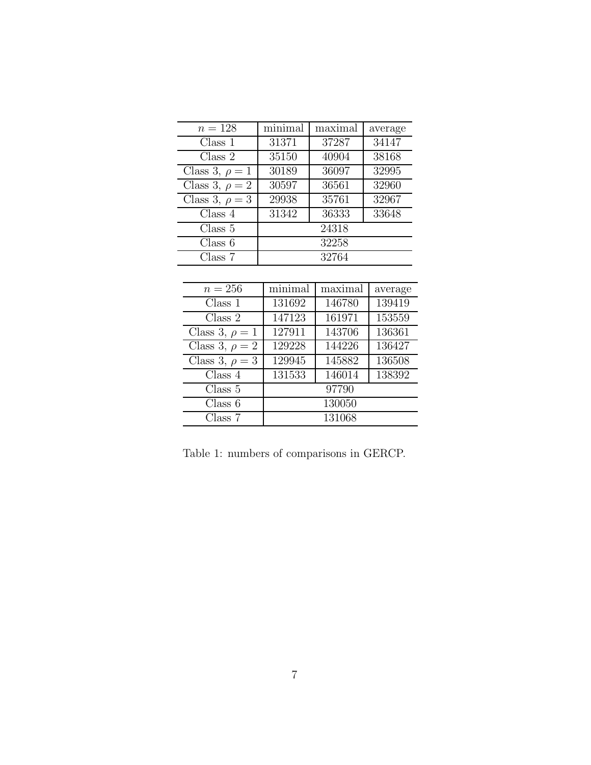| $n=128$             | minimal | maximal | average |
|---------------------|---------|---------|---------|
| Class 1             | 31371   | 37287   | 34147   |
| Class 2             | 35150   | 40904   | 38168   |
| Class 3, $\rho = 1$ | 30189   | 36097   | 32995   |
| Class 3, $\rho = 2$ | 30597   | 36561   | 32960   |
| Class 3, $\rho = 3$ | 29938   | 35761   | 32967   |
| Class 4             | 31342   | 36333   | 33648   |
| Class 5             |         | 24318   |         |
| Class 6             |         | 32258   |         |
| Class 7             |         | 32764   |         |

| $n=256$             | minimal | maximal | average |
|---------------------|---------|---------|---------|
| Class 1             | 131692  | 146780  | 139419  |
| Class 2             | 147123  | 161971  | 153559  |
| Class 3, $\rho = 1$ | 127911  | 143706  | 136361  |
| Class 3, $\rho = 2$ | 129228  | 144226  | 136427  |
| Class 3, $\rho = 3$ | 129945  | 145882  | 136508  |
| Class 4             | 131533  | 146014  | 138392  |
| Class 5             |         | 97790   |         |
| Class 6             |         | 130050  |         |
| Class 7             |         | 131068  |         |

Table 1: numbers of comparisons in GERCP.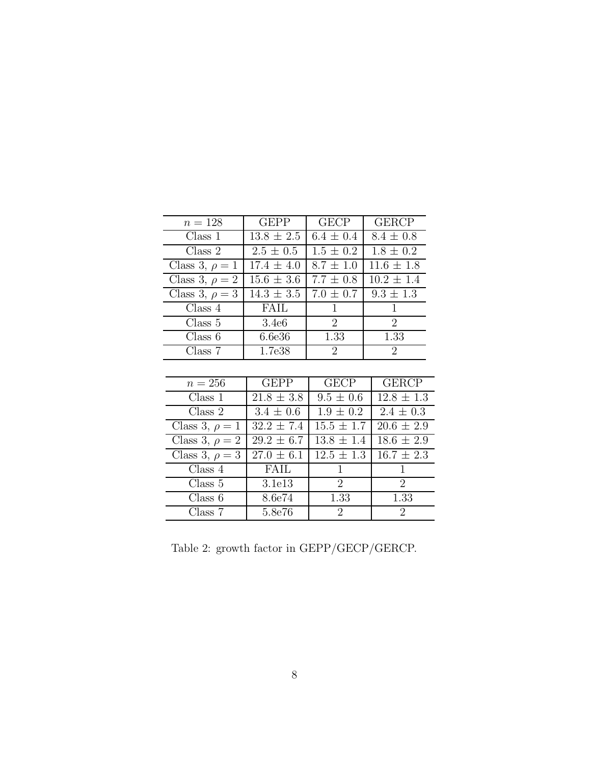| $n = 128$           | <b>GEPP</b>       | <b>GECP</b>    | <b>GERCP</b>   |
|---------------------|-------------------|----------------|----------------|
| Class 1             | $13.8 \pm 2.5$    | $6.4 \pm 0.4$  | $8.4 \pm 0.8$  |
| Class 2             | $2.5 \pm 0.5$     | $1.5 \pm 0.2$  | $1.8 \pm 0.2$  |
| Class 3, $\rho = 1$ | $17.4 \pm 4.0$    | $8.7 \pm 1.0$  | $11.6 \pm 1.8$ |
| Class 3, $\rho = 2$ | $15.6 \pm 3.6$    | $7.7 \pm 0.8$  | $10.2 \pm 1.4$ |
| Class 3, $\rho = 3$ | $14.3 \pm 3.5$    | $7.0 \pm 0.7$  | $9.3 \pm 1.3$  |
| Class 4             | <b>FAIL</b>       | 1              | 1              |
| Class 5             | 3.4e <sub>6</sub> | $\overline{2}$ | $\overline{2}$ |
| Class 6             | 6.6e36            | 1.33           | 1.33           |
| Class 7             | 1.7e38            | $\overline{2}$ | $\overline{2}$ |
|                     |                   |                |                |
| $n=256$             | <b>GEPP</b>       | <b>GECP</b>    | <b>GERCP</b>   |
| Class 1             | $21.8 \pm 3.8$    | $9.5 \pm 0.6$  | $12.8 \pm 1.3$ |
| Class 2             | $3.4 \pm 0.6$     | $1.9 \pm 0.2$  | $2.4 \pm 0.3$  |
| Class 3, $\rho = 1$ | $32.2 \pm 7.4$    | $15.5 \pm 1.7$ | $20.6 \pm 2.9$ |
| Class 3, $\rho = 2$ | $29.2 \pm 6.7$    | $13.8 \pm 1.4$ | $18.6 \pm 2.9$ |
| Class 3, $\rho = 3$ | $27.0 \pm 6.1$    | $12.5 \pm 1.3$ | $16.7 \pm 2.3$ |
| Class 4             | FAIL              | 1              | 1              |
| Class 5             | 3.1e13            | $\overline{2}$ | $\overline{2}$ |
| Class 6             | 8.6e74            | 1.33           | 1.33           |
| Class 7             | 5.8e76            | $\overline{2}$ | $\overline{2}$ |

Table 2: growth factor in GEPP/GECP/GERCP.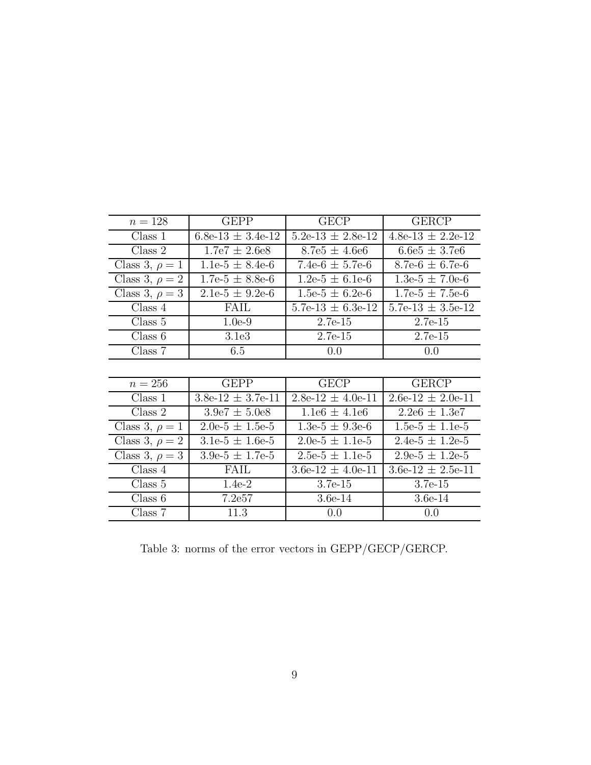| $n = 128$           | <b>GEPP</b>           | <b>GECP</b>              | <b>GERCP</b>          |
|---------------------|-----------------------|--------------------------|-----------------------|
| Class 1             | $6.8e-13 \pm 3.4e-12$ | $5.2e-13 \pm 2.8e-12$    | $4.8e-13 \pm 2.2e-12$ |
| Class 2             | $1.7e7 \pm 2.6e8$     | $8.7e5 \pm 4.6e6$        | $6.6e5 \pm 3.7e6$     |
| Class 3, $\rho = 1$ | $1.1e-5 \pm 8.4e-6$   | 7.4e- $6 \pm 5.7$ e- $6$ | $8.7e-6 \pm 6.7e-6$   |
| Class 3, $\rho = 2$ | $1.7e-5 \pm 8.8e-6$   | $1.2e-5 \pm 6.1e-6$      | $1.3e-5 \pm 7.0e-6$   |
| Class 3, $\rho = 3$ | $2.1e-5 \pm 9.2e-6$   | $1.5e-5 \pm 6.2e-6$      | $1.7e-5 \pm 7.5e-6$   |
| Class 4             | FAIL                  | $5.7e-13 \pm 6.3e-12$    | $5.7e-13 \pm 3.5e-12$ |
| Class 5             | $1.0e-9$              | $2.7e-15$                | $2.7e-15$             |
| Class 6             | 3.1e3                 | $2.7e-15$                | $2.7e-15$             |
| Class 7             | 6.5                   | 0.0                      | 0.0                   |
|                     |                       |                          |                       |
| $n=256$             | <b>GEPP</b>           | <b>GECP</b>              | <b>GERCP</b>          |
| Class 1             | $3.8e-12 \pm 3.7e-11$ | $2.8e-12 \pm 4.0e-11$    | $2.6e-12 \pm 2.0e-11$ |
| Class 2             | $3.9e7 \pm 5.0e8$     | $1.1e6 \pm 4.1e6$        | $2.2e6 \pm 1.3e7$     |
| Class 3, $\rho = 1$ | $2.0e-5 \pm 1.5e-5$   | $1.3e-5 \pm 9.3e-6$      | $1.5e-5 \pm 1.1e-5$   |
| Class 3, $\rho = 2$ | $3.1e-5 \pm 1.6e-5$   | $2.0e-5 \pm 1.1e-5$      | $2.4e-5 \pm 1.2e-5$   |
| Class 3, $\rho = 3$ | $3.9e-5 \pm 1.7e-5$   | $2.5e-5 \pm 1.1e-5$      | $2.9e-5 \pm 1.2e-5$   |
| Class 4             | <b>FAIL</b>           | $3.6e-12 \pm 4.0e-11$    | $3.6e-12 \pm 2.5e-11$ |
| Class 5             | $1.4e-2$              | $3.7e-15$                | $3.7e-15$             |
| Class 6             | 7.2e57                | $3.6e-14$                | $3.6e-14$             |
| Class 7             | 11.3                  | 0.0                      | 0.0                   |

Table 3: norms of the error vectors in GEPP/GECP/GERCP.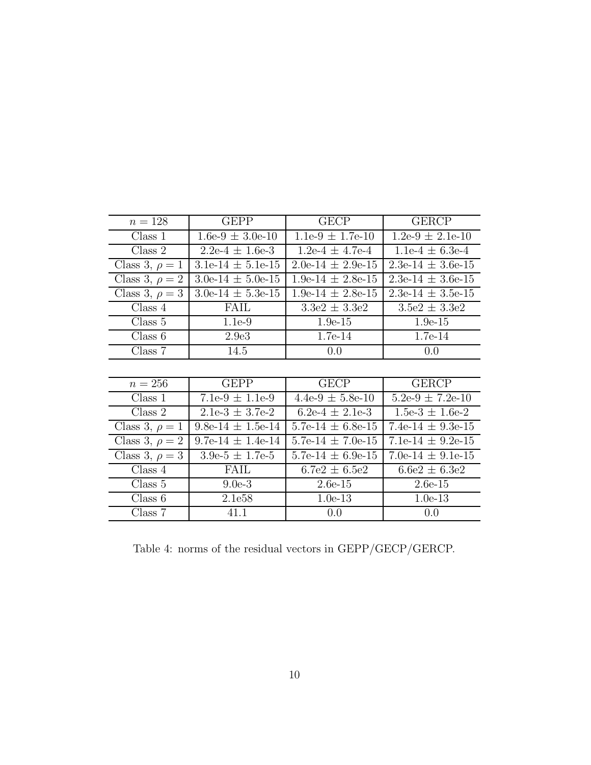| $n = 128$           | <b>GEPP</b>           | <b>GECP</b>           | <b>GERCP</b>          |
|---------------------|-----------------------|-----------------------|-----------------------|
| Class 1             | $1.6e-9 \pm 3.0e-10$  | $1.1e-9 \pm 1.7e-10$  | $1.2e-9 \pm 2.1e-10$  |
| Class 2             | $2.2e-4 \pm 1.6e-3$   | $1.2e-4 \pm 4.7e-4$   | $1.1e-4 \pm 6.3e-4$   |
| Class 3, $\rho = 1$ | $3.1e-14 \pm 5.1e-15$ | $2.0e-14 \pm 2.9e-15$ | $2.3e-14 \pm 3.6e-15$ |
| Class 3, $\rho = 2$ | $3.0e-14 \pm 5.0e-15$ | $1.9e-14 \pm 2.8e-15$ | $2.3e-14 \pm 3.6e-15$ |
| Class 3, $\rho = 3$ | $3.0e-14 \pm 5.3e-15$ | $1.9e-14 \pm 2.8e-15$ | $2.3e-14 \pm 3.5e-15$ |
| Class 4             | FAIL                  | $3.3e2 \pm 3.3e2$     | $3.5e2 \pm 3.3e2$     |
| Class 5             | $1.1e-9$              | $1.9e-15$             | $1.9e-15$             |
| Class 6             | 2.9 <sub>e</sub> 3    | 1.7e-14               | $1.7e-14$             |
| Class 7             | 14.5                  | 0.0                   | 0.0                   |
|                     |                       |                       |                       |
| $n=256$             | <b>GEPP</b>           | <b>GECP</b>           | <b>GERCP</b>          |
| Class 1             | $7.1e-9 \pm 1.1e-9$   | $4.4e-9 \pm 5.8e-10$  | $5.2e-9 \pm 7.2e-10$  |
| Class 2             | $2.1e-3 \pm 3.7e-2$   | $6.2e-4 \pm 2.1e-3$   | $1.5e-3 \pm 1.6e-2$   |
| Class 3, $\rho = 1$ | $9.8e-14 \pm 1.5e-14$ | $5.7e-14 \pm 6.8e-15$ | 7.4e-14 $\pm$ 9.3e-15 |
| Class 3, $\rho = 2$ | $9.7e-14 \pm 1.4e-14$ | 5.7e-14 $\pm$ 7.0e-15 | 7.1e-14 $\pm$ 9.2e-15 |
| Class 3, $\rho = 3$ | $3.9e-5 \pm 1.7e-5$   | 5.7e-14 $\pm$ 6.9e-15 | 7.0e-14 $\pm$ 9.1e-15 |
| Class 4             | FAIL                  | $6.7e2 \pm 6.5e2$     | $6.6e2 \pm 6.3e2$     |
| Class 5             | $9.0e-3$              | $2.6e-15$             | $2.6e-15$             |
| Class 6             | 2.1e58                | $1.0e-13$             | $1.0e-13$             |
| Class 7             | 41.1                  | 0.0                   | 0.0                   |

Table 4: norms of the residual vectors in GEPP/GECP/GERCP.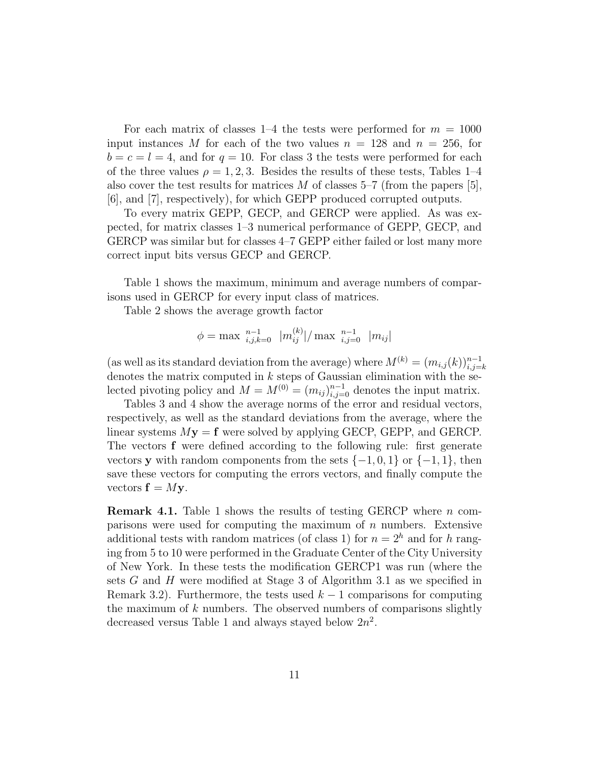For each matrix of classes 1–4 the tests were performed for  $m = 1000$ input instances M for each of the two values  $n = 128$  and  $n = 256$ , for  $b = c = l = 4$ , and for  $q = 10$ . For class 3 the tests were performed for each of the three values  $\rho = 1, 2, 3$ . Besides the results of these tests, Tables 1–4 also cover the test results for matrices M of classes  $5-7$  (from the papers [5], [6], and [7], respectively), for which GEPP produced corrupted outputs.

To every matrix GEPP, GECP, and GERCP were applied. As was expected, for matrix classes 1–3 numerical performance of GEPP, GECP, and GERCP was similar but for classes 4–7 GEPP either failed or lost many more correct input bits versus GECP and GERCP.

Table 1 shows the maximum, minimum and average numbers of comparisons used in GERCP for every input class of matrices.

Table 2 shows the average growth factor

$$
\phi = \max_{i,j,k=0}^{n-1} |m_{ij}^{(k)}| / \max_{i,j=0}^{n-1} |m_{ij}|
$$

(as well as its standard deviation from the average) where  $M^{(k)} = (m_{i,j}(k))_{i,j=k}^{n-1}$ <br>denotes the matrix computed in k steps of Gaussian elimination with the sedenotes the matrix computed in  $k$  steps of Gaussian elimination with the selected pivoting policy and  $M = M^{(0)} = (m_{ij})_{i,j=0}^{n-1}$  denotes the input matrix.<br>Tables 3 and 4 show the average norms of the error and residual vectors

Tables 3 and 4 show the average norms of the error and residual vectors, respectively, as well as the standard deviations from the average, where the linear systems  $M**y** = **f**$  were solved by applying GECP, GEPP, and GERCP. The vectors **f** were defined according to the following rule: first generate vectors **y** with random components from the sets  $\{-1, 0, 1\}$  or  $\{-1, 1\}$ , then save these vectors for computing the errors vectors, and finally compute the vectors  $f = My$ .

**Remark 4.1.** Table 1 shows the results of testing GERCP where *n* comparisons were used for computing the maximum of  $n$  numbers. Extensive additional tests with random matrices (of class 1) for  $n = 2<sup>h</sup>$  and for h ranging from 5 to 10 were performed in the Graduate Center of the City University of New York. In these tests the modification GERCP1 was run (where the sets G and H were modified at Stage 3 of Algorithm 3.1 as we specified in Remark 3.2). Furthermore, the tests used  $k-1$  comparisons for computing the maximum of  $k$  numbers. The observed numbers of comparisons slightly decreased versus Table 1 and always stayed below  $2n^2$ .